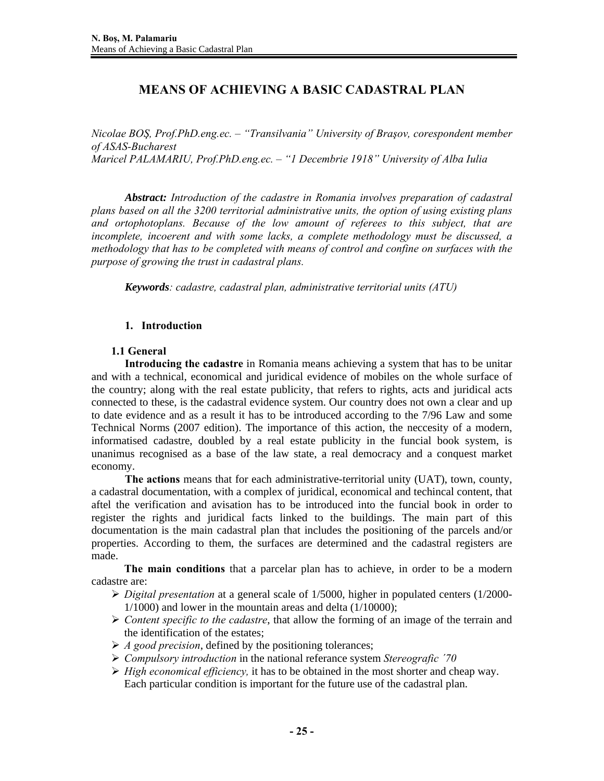# **MEANS OF ACHIEVING A BASIC CADASTRAL PLAN**

*Nicolae BOŞ, Prof.PhD.eng.ec. – "Transilvania" University of Braşov, corespondent member of ASAS-Bucharest Maricel PALAMARIU, Prof.PhD.eng.ec. – "1 Decembrie 1918" University of Alba Iulia* 

*Abstract: Introduction of the cadastre in Romania involves preparation of cadastral plans based on all the 3200 territorial administrative units, the option of using existing plans and ortophotoplans. Because of the low amount of referees to this subject, that are incomplete, incoerent and with some lacks, a complete methodology must be discussed, a methodology that has to be completed with means of control and confine on surfaces with the purpose of growing the trust in cadastral plans.* 

*Keywords: cadastre, cadastral plan, administrative territorial units (ATU)* 

# **1. Introduction**

## **1.1 General**

**Introducing the cadastre** in Romania means achieving a system that has to be unitar and with a technical, economical and juridical evidence of mobiles on the whole surface of the country; along with the real estate publicity, that refers to rights, acts and juridical acts connected to these, is the cadastral evidence system. Our country does not own a clear and up to date evidence and as a result it has to be introduced according to the 7/96 Law and some Technical Norms (2007 edition). The importance of this action, the neccesity of a modern, informatised cadastre, doubled by a real estate publicity in the funcial book system, is unanimus recognised as a base of the law state, a real democracy and a conquest market economy.

**The actions** means that for each administrative-territorial unity (UAT), town, county, a cadastral documentation, with a complex of juridical, economical and techincal content, that aftel the verification and avisation has to be introduced into the funcial book in order to register the rights and juridical facts linked to the buildings. The main part of this documentation is the main cadastral plan that includes the positioning of the parcels and/or properties. According to them, the surfaces are determined and the cadastral registers are made.

**The main conditions** that a parcelar plan has to achieve, in order to be a modern cadastre are:

- ¾ *Digital presentation* at a general scale of 1/5000, higher in populated centers (1/2000- 1/1000) and lower in the mountain areas and delta (1/10000);
- ¾ *Content specific to the cadastre*, that allow the forming of an image of the terrain and the identification of the estates;
- ¾ *A good precision*, defined by the positioning tolerances;
- ¾ *Compulsory introduction* in the national referance system *Stereografic ´70*
- ¾ *High economical efficiency,* it has to be obtained in the most shorter and cheap way. Each particular condition is important for the future use of the cadastral plan.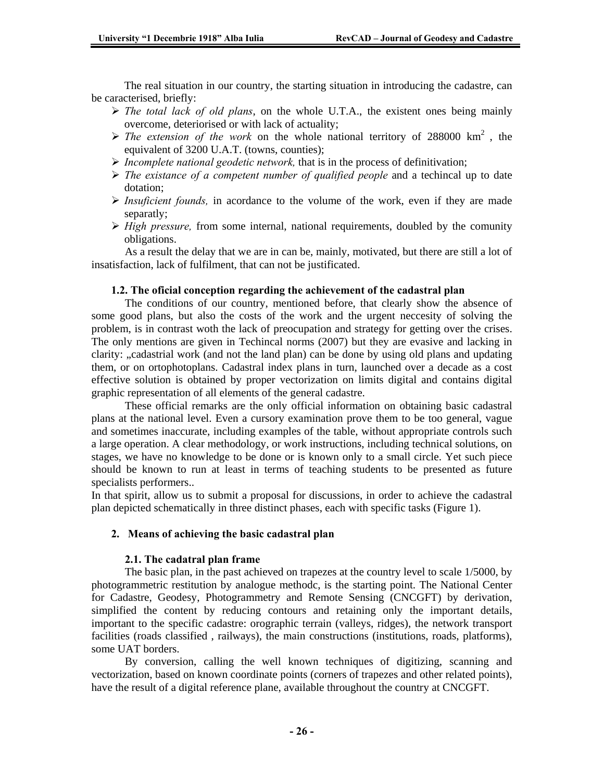The real situation in our country, the starting situation in introducing the cadastre, can be caracterised, briefly:

- $\triangleright$  *The total lack of old plans*, on the whole U.T.A., the existent ones being mainly overcome, deteriorised or with lack of actuality;
- $\triangleright$  *The extension of the work* on the whole national territory of 288000 km<sup>2</sup>, the equivalent of 3200 U.A.T. (towns, counties);
- ¾ *Incomplete national geodetic network,* that is in the process of definitivation;
- ¾ *The existance of a competent number of qualified people* and a techincal up to date dotation;
- ¾ *Insuficient founds,* in acordance to the volume of the work, even if they are made separatly;
- $\triangleright$  *High pressure,* from some internal, national requirements, doubled by the comunity obligations.

 As a result the delay that we are in can be, mainly, motivated, but there are still a lot of insatisfaction, lack of fulfilment, that can not be justificated.

#### **1.2. The oficial conception regarding the achievement of the cadastral plan**

 The conditions of our country, mentioned before, that clearly show the absence of some good plans, but also the costs of the work and the urgent neccesity of solving the problem, is in contrast woth the lack of preocupation and strategy for getting over the crises. The only mentions are given in Techincal norms (2007) but they are evasive and lacking in clarity: "cadastrial work (and not the land plan) can be done by using old plans and updating them, or on ortophotoplans. Cadastral index plans in turn, launched over a decade as a cost effective solution is obtained by proper vectorization on limits digital and contains digital graphic representation of all elements of the general cadastre.

 These official remarks are the only official information on obtaining basic cadastral plans at the national level. Even a cursory examination prove them to be too general, vague and sometimes inaccurate, including examples of the table, without appropriate controls such a large operation. A clear methodology, or work instructions, including technical solutions, on stages, we have no knowledge to be done or is known only to a small circle. Yet such piece should be known to run at least in terms of teaching students to be presented as future specialists performers..

In that spirit, allow us to submit a proposal for discussions, in order to achieve the cadastral plan depicted schematically in three distinct phases, each with specific tasks (Figure 1).

#### **2. Means of achieving the basic cadastral plan**

#### **2.1. The cadatral plan frame**

 The basic plan, in the past achieved on trapezes at the country level to scale 1/5000, by photogrammetric restitution by analogue methodc, is the starting point. The National Center for Cadastre, Geodesy, Photogrammetry and Remote Sensing (CNCGFT) by derivation, simplified the content by reducing contours and retaining only the important details, important to the specific cadastre: orographic terrain (valleys, ridges), the network transport facilities (roads classified , railways), the main constructions (institutions, roads, platforms), some UAT borders.

 By conversion, calling the well known techniques of digitizing, scanning and vectorization, based on known coordinate points (corners of trapezes and other related points), have the result of a digital reference plane, available throughout the country at CNCGFT.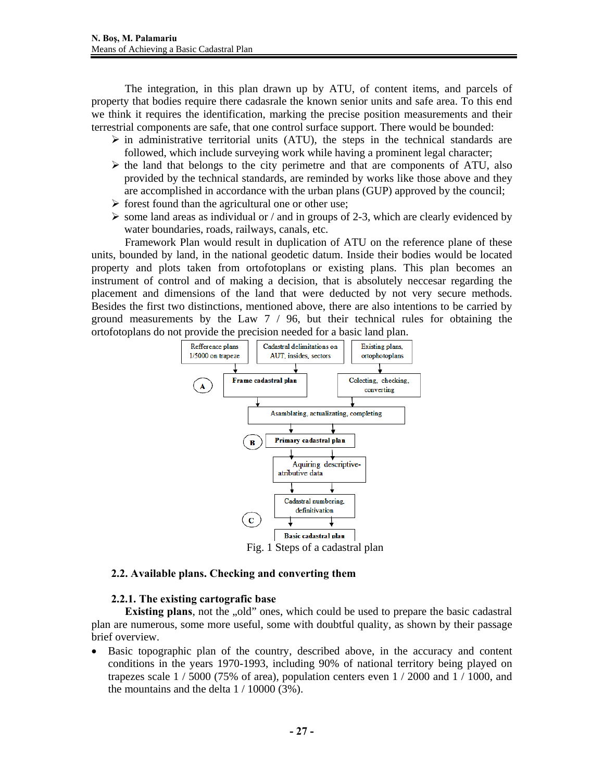The integration, in this plan drawn up by ATU, of content items, and parcels of property that bodies require there cadasrale the known senior units and safe area. To this end we think it requires the identification, marking the precise position measurements and their terrestrial components are safe, that one control surface support. There would be bounded:

- $\triangleright$  in administrative territorial units (ATU), the steps in the technical standards are followed, which include surveying work while having a prominent legal character;
- $\triangleright$  the land that belongs to the city perimetre and that are components of ATU, also provided by the technical standards, are reminded by works like those above and they are accomplished in accordance with the urban plans (GUP) approved by the council;
- $\triangleright$  forest found than the agricultural one or other use;
- $\triangleright$  some land areas as individual or / and in groups of 2-3, which are clearly evidenced by water boundaries, roads, railways, canals, etc.

 Framework Plan would result in duplication of ATU on the reference plane of these units, bounded by land, in the national geodetic datum. Inside their bodies would be located property and plots taken from ortofotoplans or existing plans. This plan becomes an instrument of control and of making a decision, that is absolutely neccesar regarding the placement and dimensions of the land that were deducted by not very secure methods. Besides the first two distinctions, mentioned above, there are also intentions to be carried by ground measurements by the Law 7 / 96, but their technical rules for obtaining the ortofotoplans do not provide the precision needed for a basic land plan.



## **2.2. Available plans. Checking and converting them**

## **2.2.1. The existing cartografic base**

**Existing plans**, not the "old" ones, which could be used to prepare the basic cadastral plan are numerous, some more useful, some with doubtful quality, as shown by their passage brief overview.

• Basic topographic plan of the country, described above, in the accuracy and content conditions in the years 1970-1993, including 90% of national territory being played on trapezes scale  $1/5000$  (75% of area), population centers even  $1/2000$  and  $1/1000$ , and the mountains and the delta  $1/10000$  (3%).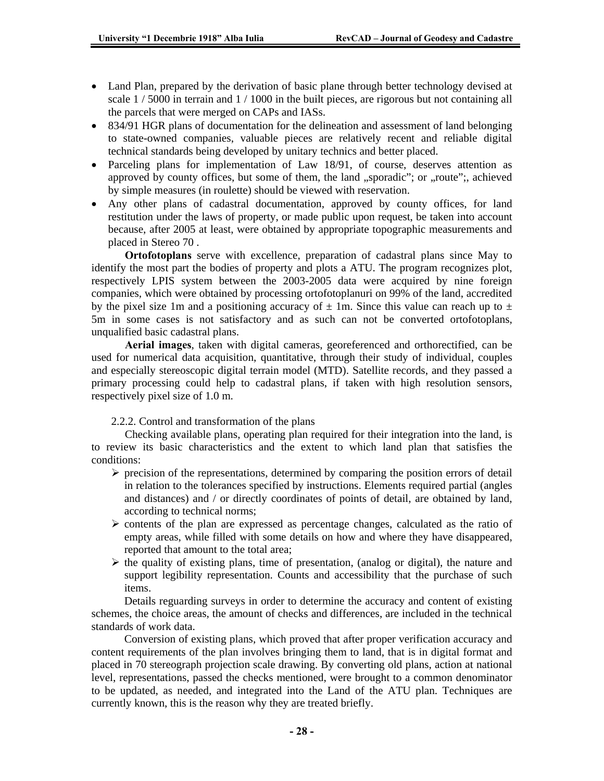- Land Plan, prepared by the derivation of basic plane through better technology devised at scale  $1/5000$  in terrain and  $1/1000$  in the built pieces, are rigorous but not containing all the parcels that were merged on CAPs and IASs.
- 834/91 HGR plans of documentation for the delineation and assessment of land belonging to state-owned companies, valuable pieces are relatively recent and reliable digital technical standards being developed by unitary technics and better placed.
- Parceling plans for implementation of Law 18/91, of course, deserves attention as approved by county offices, but some of them, the land "sporadic"; or "route";, achieved by simple measures (in roulette) should be viewed with reservation.
- Any other plans of cadastral documentation, approved by county offices, for land restitution under the laws of property, or made public upon request, be taken into account because, after 2005 at least, were obtained by appropriate topographic measurements and placed in Stereo 70 .

**Ortofotoplans** serve with excellence, preparation of cadastral plans since May to identify the most part the bodies of property and plots a ATU. The program recognizes plot, respectively LPIS system between the 2003-2005 data were acquired by nine foreign companies, which were obtained by processing ortofotoplanuri on 99% of the land, accredited by the pixel size 1m and a positioning accuracy of  $\pm$  1m. Since this value can reach up to  $\pm$ 5m in some cases is not satisfactory and as such can not be converted ortofotoplans, unqualified basic cadastral plans.

**Aerial images**, taken with digital cameras, georeferenced and orthorectified, can be used for numerical data acquisition, quantitative, through their study of individual, couples and especially stereoscopic digital terrain model (MTD). Satellite records, and they passed a primary processing could help to cadastral plans, if taken with high resolution sensors, respectively pixel size of 1.0 m.

2.2.2. Control and transformation of the plans

 Checking available plans, operating plan required for their integration into the land, is to review its basic characteristics and the extent to which land plan that satisfies the conditions:

- $\triangleright$  precision of the representations, determined by comparing the position errors of detail in relation to the tolerances specified by instructions. Elements required partial (angles and distances) and / or directly coordinates of points of detail, are obtained by land, according to technical norms;
- $\triangleright$  contents of the plan are expressed as percentage changes, calculated as the ratio of empty areas, while filled with some details on how and where they have disappeared, reported that amount to the total area;
- $\triangleright$  the quality of existing plans, time of presentation, (analog or digital), the nature and support legibility representation. Counts and accessibility that the purchase of such items.

 Details reguarding surveys in order to determine the accuracy and content of existing schemes, the choice areas, the amount of checks and differences, are included in the technical standards of work data.

 Conversion of existing plans, which proved that after proper verification accuracy and content requirements of the plan involves bringing them to land, that is in digital format and placed in 70 stereograph projection scale drawing. By converting old plans, action at national level, representations, passed the checks mentioned, were brought to a common denominator to be updated, as needed, and integrated into the Land of the ATU plan. Techniques are currently known, this is the reason why they are treated briefly.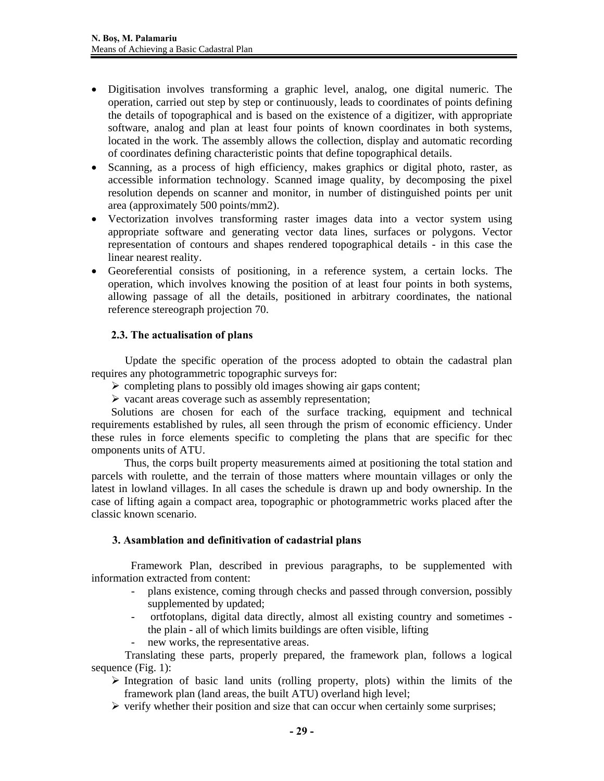- Digitisation involves transforming a graphic level, analog, one digital numeric. The operation, carried out step by step or continuously, leads to coordinates of points defining the details of topographical and is based on the existence of a digitizer, with appropriate software, analog and plan at least four points of known coordinates in both systems, located in the work. The assembly allows the collection, display and automatic recording of coordinates defining characteristic points that define topographical details.
- Scanning, as a process of high efficiency, makes graphics or digital photo, raster, as accessible information technology. Scanned image quality, by decomposing the pixel resolution depends on scanner and monitor, in number of distinguished points per unit area (approximately 500 points/mm2).
- Vectorization involves transforming raster images data into a vector system using appropriate software and generating vector data lines, surfaces or polygons. Vector representation of contours and shapes rendered topographical details - in this case the linear nearest reality.
- Georeferential consists of positioning, in a reference system, a certain locks. The operation, which involves knowing the position of at least four points in both systems, allowing passage of all the details, positioned in arbitrary coordinates, the national reference stereograph projection 70.

# **2.3. The actualisation of plans**

 Update the specific operation of the process adopted to obtain the cadastral plan requires any photogrammetric topographic surveys for:

- $\triangleright$  completing plans to possibly old images showing air gaps content;
- $\triangleright$  vacant areas coverage such as assembly representation;

Solutions are chosen for each of the surface tracking, equipment and technical requirements established by rules, all seen through the prism of economic efficiency. Under these rules in force elements specific to completing the plans that are specific for thec omponents units of ATU.

 Thus, the corps built property measurements aimed at positioning the total station and parcels with roulette, and the terrain of those matters where mountain villages or only the latest in lowland villages. In all cases the schedule is drawn up and body ownership. In the case of lifting again a compact area, topographic or photogrammetric works placed after the classic known scenario.

## **3. Asamblation and definitivation of cadastrial plans**

 Framework Plan, described in previous paragraphs, to be supplemented with information extracted from content:

- plans existence, coming through checks and passed through conversion, possibly supplemented by updated;
- ortfotoplans, digital data directly, almost all existing country and sometimes the plain - all of which limits buildings are often visible, lifting
- new works, the representative areas.

 Translating these parts, properly prepared, the framework plan, follows a logical sequence (Fig. 1):

- $\triangleright$  Integration of basic land units (rolling property, plots) within the limits of the framework plan (land areas, the built ATU) overland high level;
- $\triangleright$  verify whether their position and size that can occur when certainly some surprises;